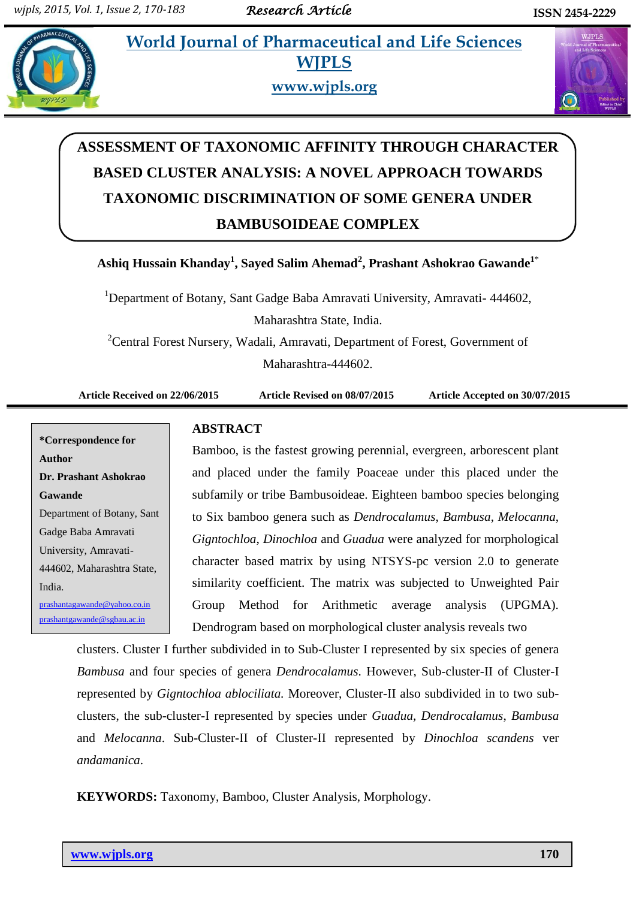**Pracharmatheral** *et all* **and Life Sciences and Life Sciences and Life Sciences and Life Sciences and Life Sciences and Life Sciences and Life Sciences and Life Sciences and Life Sciences and Life Sciences and Life Science WJPLS**



**www.wjpls.org**



# **ASSESSMENT OF TAXONOMIC AFFINITY THROUGH CHARACTER BASED CLUSTER ANALYSIS: A NOVEL APPROACH TOWARDS TAXONOMIC DISCRIMINATION OF SOME GENERA UNDER BAMBUSOIDEAE COMPLEX**

**Ashiq Hussain Khanday 1 , Sayed Salim Ahemad<sup>2</sup> , Prashant Ashokrao Gawande<sup>1</sup>**\*

<sup>1</sup>Department of Botany, Sant Gadge Baba Amravati University, Amravati- 444602, Maharashtra State, India.

<sup>2</sup>Central Forest Nursery, Wadali, Amravati, Department of Forest, Government of Maharashtra-444602.

**Article Received on 22/06/2015 Article Revised on 08/07/2015 Article Accepted on 30/07/2015**

## **\*Correspondence for Author Dr. Prashant Ashokrao Gawande** Department of Botany, Sant Gadge Baba Amravati University, Amravati-444602, Maharashtra State, India. [prashantagawande@yahoo.co.in](mailto:prashantagawande@yahoo.co.in) prashantgawande@sgbau.ac.in

### **ABSTRACT**

Bamboo, is the fastest growing perennial, evergreen, arborescent plant and placed under the family Poaceae under this placed under the subfamily or tribe Bambusoideae. Eighteen bamboo species belonging to Six bamboo genera such as *Dendrocalamus*, *Bambusa*, *Melocanna*, *Gigntochloa*, *Dinochloa* and *Guadua* were analyzed for morphological character based matrix by using NTSYS-pc version 2.0 to generate similarity coefficient. The matrix was subjected to Unweighted Pair Group Method for Arithmetic average analysis (UPGMA). Dendrogram based on morphological cluster analysis reveals two

clusters. Cluster I further subdivided in to Sub-Cluster I represented by six species of genera *Bambusa* and four species of genera *Dendrocalamus*. However, Sub-cluster-II of Cluster-I represented by *Gigntochloa ablociliata.* Moreover, Cluster-II also subdivided in to two subclusters, the sub-cluster-I represented by species under *Guadua, Dendrocalamus*, *Bambusa* and *Melocanna*. Sub-Cluster-II of Cluster-II represented by *Dinochloa scandens* ver *andamanica*.

**KEYWORDS:** Taxonomy, Bamboo, Cluster Analysis, Morphology.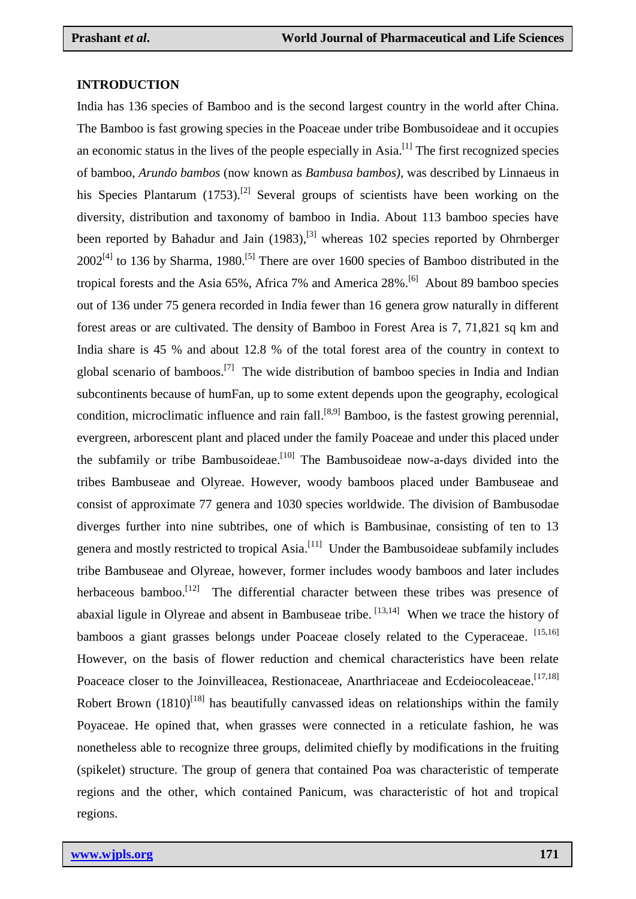#### **INTRODUCTION**

India has 136 species of Bamboo and is the second largest country in the world after China. The Bamboo is fast growing species in the Poaceae under tribe Bombusoideae and it occupies an economic status in the lives of the people especially in  $Asia$ .<sup>[1]</sup> The first recognized species of bamboo, *Arundo bambos* (now known as *Bambusa bambos)*, was described by Linnaeus in his Species Plantarum  $(1753)$ .<sup>[2]</sup> Several groups of scientists have been working on the diversity, distribution and taxonomy of bamboo in India. About 113 bamboo species have been reported by Bahadur and Jain (1983),<sup>[3]</sup> whereas 102 species reported by Ohrnberger  $2002^{[4]}$  to 136 by Sharma, 1980.<sup>[5]</sup> There are over 1600 species of Bamboo distributed in the tropical forests and the Asia 65%, Africa 7% and America 28%.<sup>[6]</sup> About 89 bamboo species out of 136 under 75 genera recorded in India fewer than 16 genera grow naturally in different forest areas or are cultivated. The density of Bamboo in Forest Area is 7, 71,821 sq km and India share is 45 % and about 12.8 % of the total forest area of the country in context to global scenario of bamboos.<sup>[7]</sup> The wide distribution of bamboo species in India and Indian subcontinents because of humFan, up to some extent depends upon the geography, ecological condition, microclimatic influence and rain fall.<sup>[8,9]</sup> Bamboo, is the fastest growing perennial, evergreen, arborescent plant and placed under the family Poaceae and under this placed under the subfamily or tribe Bambusoideae.<sup>[10]</sup> The Bambusoideae now-a-days divided into the tribes Bambuseae and Olyreae. However, woody bamboos placed under Bambuseae and consist of approximate 77 genera and 1030 species worldwide. The division of Bambusodae diverges further into nine subtribes, one of which is Bambusinae, consisting of ten to 13 genera and mostly restricted to tropical Asia.<sup>[11]</sup> Under the Bambusoideae subfamily includes tribe Bambuseae and Olyreae, however, former includes woody bamboos and later includes herbaceous bamboo.<sup>[12]</sup> The differential character between these tribes was presence of abaxial ligule in Olyreae and absent in Bambuseae tribe.  $^{[13,14]}$  When we trace the history of bamboos a giant grasses belongs under Poaceae closely related to the Cyperaceae. [15,16] However, on the basis of flower reduction and chemical characteristics have been relate Poaceace closer to the Joinvilleacea, Restionaceae, Anarthriaceae and Ecdeiocoleaceae.<sup>[17,18]</sup> Robert Brown  $(1810)^{[18]}$  has beautifully canvassed ideas on relationships within the family Poyaceae. He opined that, when grasses were connected in a reticulate fashion, he was nonetheless able to recognize three groups, delimited chiefly by modifications in the fruiting (spikelet) structure. The group of genera that contained Poa was characteristic of temperate regions and the other, which contained Panicum, was characteristic of hot and tropical regions.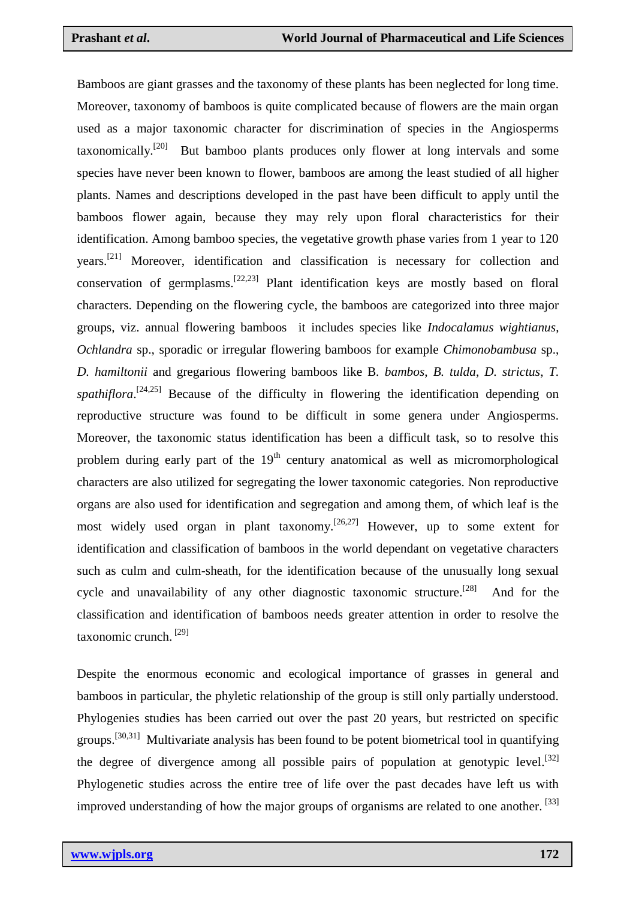Bamboos are giant grasses and the taxonomy of these plants has been neglected for long time. Moreover, taxonomy of bamboos is quite complicated because of flowers are the main organ used as a major taxonomic character for discrimination of species in the Angiosperms taxonomically.<sup>[20]</sup> But bamboo plants produces only flower at long intervals and some species have never been known to flower, bamboos are among the least studied of all higher plants. Names and descriptions developed in the past have been difficult to apply until the bamboos flower again, because they may rely upon floral characteristics for their identification. Among bamboo species, the vegetative growth phase varies from 1 year to 120 years.<sup>[21]</sup> Moreover, identification and classification is necessary for collection and conservation of germplasms.<sup>[22,23]</sup> Plant identification keys are mostly based on floral characters. Depending on the flowering cycle, the bamboos are categorized into three major groups, viz. annual flowering bamboos it includes species like *Indocalamus wightianus*, *Ochlandra* sp., sporadic or irregular flowering bamboos for example *Chimonobambusa* sp., *D. hamiltonii* and gregarious flowering bamboos like B*. bambos*, *B. tulda*, *D. strictus*, *T.*  spathiflora.<sup>[24,25]</sup> Because of the difficulty in flowering the identification depending on reproductive structure was found to be difficult in some genera under Angiosperms. Moreover, the taxonomic status identification has been a difficult task, so to resolve this problem during early part of the  $19<sup>th</sup>$  century anatomical as well as micromorphological characters are also utilized for segregating the lower taxonomic categories. Non reproductive organs are also used for identification and segregation and among them, of which leaf is the most widely used organ in plant taxonomy.<sup>[26,27]</sup> However, up to some extent for identification and classification of bamboos in the world dependant on vegetative characters such as culm and culm-sheath, for the identification because of the unusually long sexual cycle and unavailability of any other diagnostic taxonomic structure.<sup>[28]</sup> And for the classification and identification of bamboos needs greater attention in order to resolve the taxonomic crunch. [29]

Despite the enormous economic and ecological importance of grasses in general and bamboos in particular, the phyletic relationship of the group is still only partially understood. Phylogenies studies has been carried out over the past 20 years, but restricted on specific groups.<sup>[30,31]</sup> Multivariate analysis has been found to be potent biometrical tool in quantifying the degree of divergence among all possible pairs of population at genotypic level.<sup>[32]</sup> Phylogenetic studies across the entire tree of life over the past decades have left us with improved understanding of how the major groups of organisms are related to one another.<sup>[33]</sup>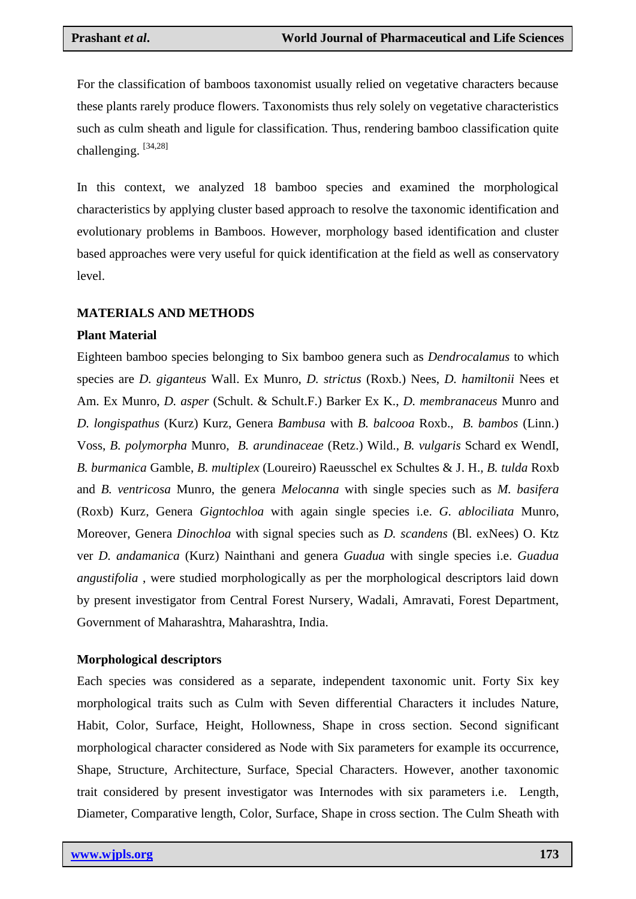For the classification of bamboos taxonomist usually relied on vegetative characters because these plants rarely produce flowers. Taxonomists thus rely solely on vegetative characteristics such as culm sheath and ligule for classification. Thus, rendering bamboo classification quite challenging. [34,28]

In this context, we analyzed 18 bamboo species and examined the morphological characteristics by applying cluster based approach to resolve the taxonomic identification and evolutionary problems in Bamboos. However, morphology based identification and cluster based approaches were very useful for quick identification at the field as well as conservatory level.

#### **MATERIALS AND METHODS**

#### **Plant Material**

Eighteen bamboo species belonging to Six bamboo genera such as *Dendrocalamus* to which species are *D. giganteus* Wall. Ex Munro, *D. strictus* (Roxb.) Nees, *D. hamiltonii* Nees et Am. Ex Munro, *D. asper* (Schult. & Schult.F.) Barker Ex K., *D. membranaceus* Munro and *D. longispathus* (Kurz) Kurz, Genera *Bambusa* with *B. balcooa* Roxb., *B. bambos* (Linn.) Voss, *B. polymorpha* Munro, *B. arundinaceae* (Retz.) Wild., *B. vulgaris* Schard ex WendI, *B. burmanica* Gamble, *B. multiplex* (Loureiro) Raeusschel ex Schultes & J. H.*, B. tulda* Roxb and *B. ventricosa* Munro, the genera *Melocanna* with single species such as *M. basifera* (Roxb) Kurz*,* Genera *Gigntochloa* with again single species i.e. *G. ablociliata* Munro, Moreover, Genera *Dinochloa* with signal species such as *D. scandens* (Bl. exNees) O. Ktz ver *D. andamanica* (Kurz) Nainthani and genera *Guadua* with single species i.e. *Guadua angustifolia* , were studied morphologically as per the morphological descriptors laid down by present investigator from Central Forest Nursery, Wadali, Amravati, Forest Department, Government of Maharashtra, Maharashtra, India.

#### **Morphological descriptors**

Each species was considered as a separate, independent taxonomic unit. Forty Six key morphological traits such as Culm with Seven differential Characters it includes Nature, Habit, Color, Surface, Height, Hollowness, Shape in cross section. Second significant morphological character considered as Node with Six parameters for example its occurrence, Shape, Structure, Architecture, Surface, Special Characters. However, another taxonomic trait considered by present investigator was Internodes with six parameters i.e. Length, Diameter, Comparative length, Color, Surface, Shape in cross section. The Culm Sheath with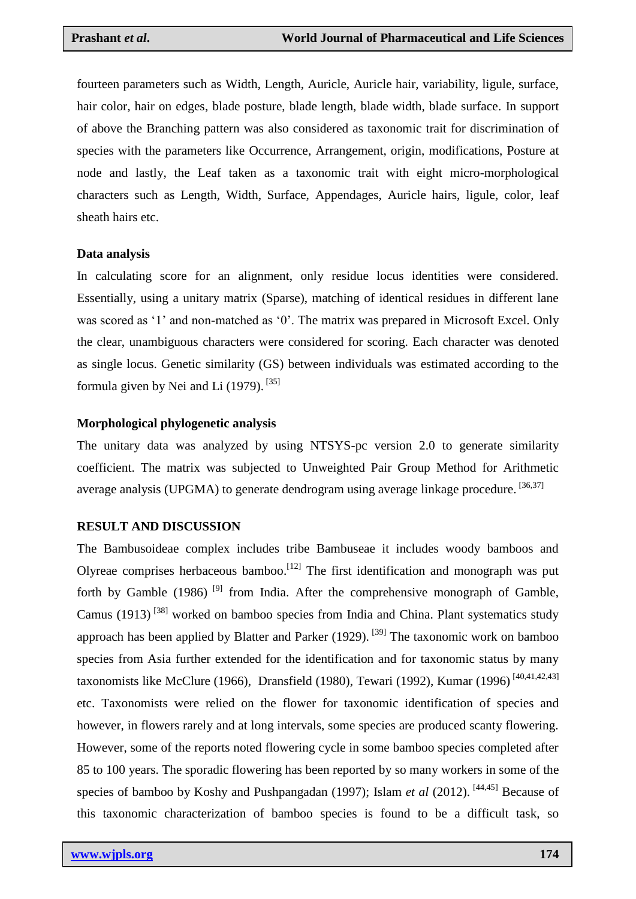fourteen parameters such as Width, Length, Auricle, Auricle hair, variability, ligule, surface, hair color, hair on edges, blade posture, blade length, blade width, blade surface. In support of above the Branching pattern was also considered as taxonomic trait for discrimination of species with the parameters like Occurrence, Arrangement, origin, modifications, Posture at node and lastly, the Leaf taken as a taxonomic trait with eight micro-morphological characters such as Length, Width, Surface, Appendages, Auricle hairs, ligule, color, leaf sheath hairs etc.

#### **Data analysis**

In calculating score for an alignment, only residue locus identities were considered. Essentially, using a unitary matrix (Sparse), matching of identical residues in different lane was scored as '1' and non-matched as '0'. The matrix was prepared in Microsoft Excel. Only the clear, unambiguous characters were considered for scoring. Each character was denoted as single locus. Genetic similarity (GS) between individuals was estimated according to the formula given by Nei and Li  $(1979)$ . <sup>[35]</sup>

#### **Morphological phylogenetic analysis**

The unitary data was analyzed by using NTSYS-pc version 2.0 to generate similarity coefficient. The matrix was subjected to Unweighted Pair Group Method for Arithmetic average analysis (UPGMA) to generate dendrogram using average linkage procedure. [36,37]

#### **RESULT AND DISCUSSION**

The Bambusoideae complex includes tribe Bambuseae it includes woody bamboos and Olyreae comprises herbaceous bamboo.<sup>[12]</sup> The first identification and monograph was put forth by Gamble (1986)<sup>[9]</sup> from India. After the comprehensive monograph of Gamble, Camus (1913)<sup>[38]</sup> worked on bamboo species from India and China. Plant systematics study approach has been applied by Blatter and Parker  $(1929)$ . <sup>[39]</sup> The taxonomic work on bamboo species from Asia further extended for the identification and for taxonomic status by many taxonomists like McClure (1966), Dransfield (1980), Tewari (1992), Kumar (1996)<sup>[40,41,42,43]</sup> etc. Taxonomists were relied on the flower for taxonomic identification of species and however, in flowers rarely and at long intervals, some species are produced scanty flowering. However, some of the reports noted flowering cycle in some bamboo species completed after 85 to 100 years. The sporadic flowering has been reported by so many workers in some of the species of bamboo by Koshy and Pushpangadan (1997); Islam *et al* (2012).<sup>[44,45]</sup> Because of this taxonomic characterization of bamboo species is found to be a difficult task, so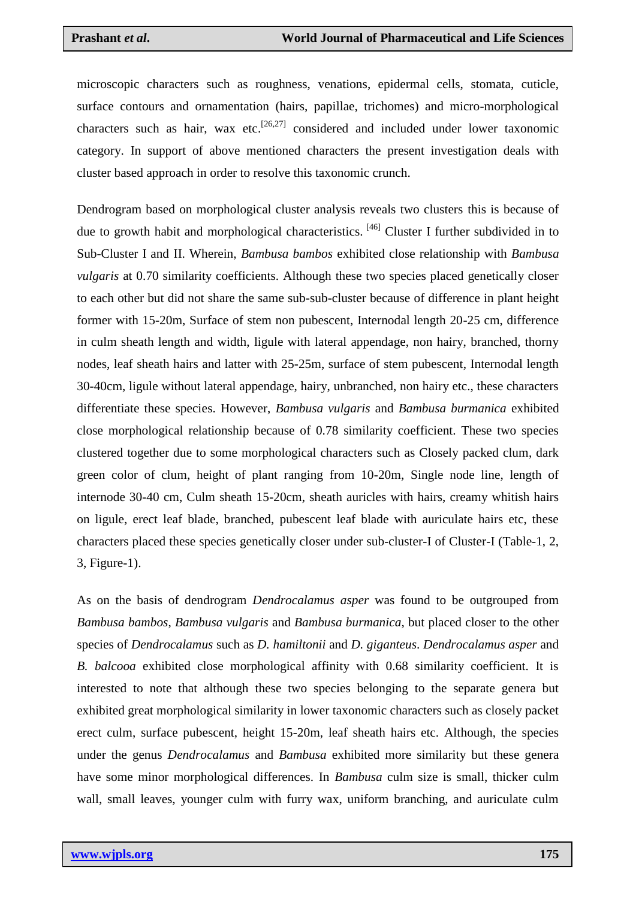microscopic characters such as roughness, venations, epidermal cells, stomata, cuticle, surface contours and ornamentation (hairs, papillae, trichomes) and micro-morphological characters such as hair, wax etc.<sup>[26,27]</sup> considered and included under lower taxonomic category. In support of above mentioned characters the present investigation deals with cluster based approach in order to resolve this taxonomic crunch.

Dendrogram based on morphological cluster analysis reveals two clusters this is because of due to growth habit and morphological characteristics. [46] Cluster I further subdivided in to Sub-Cluster I and II. Wherein, *Bambusa bambos* exhibited close relationship with *Bambusa vulgaris* at 0.70 similarity coefficients. Although these two species placed genetically closer to each other but did not share the same sub-sub-cluster because of difference in plant height former with 15-20m, Surface of stem non pubescent, Internodal length 20-25 cm, difference in culm sheath length and width, ligule with lateral appendage, non hairy, branched, thorny nodes, leaf sheath hairs and latter with 25-25m, surface of stem pubescent, Internodal length 30-40cm, ligule without lateral appendage, hairy, unbranched, non hairy etc., these characters differentiate these species. However, *Bambusa vulgaris* and *Bambusa burmanica* exhibited close morphological relationship because of 0.78 similarity coefficient. These two species clustered together due to some morphological characters such as Closely packed clum, dark green color of clum, height of plant ranging from 10-20m, Single node line, length of internode 30-40 cm, Culm sheath 15-20cm, sheath auricles with hairs, creamy whitish hairs on ligule, erect leaf blade, branched, pubescent leaf blade with auriculate hairs etc, these characters placed these species genetically closer under sub-cluster-I of Cluster-I (Table-1, 2, 3, Figure-1).

As on the basis of dendrogram *Dendrocalamus asper* was found to be outgrouped from *Bambusa bambos*, *Bambusa vulgaris* and *Bambusa burmanica*, but placed closer to the other species of *Dendrocalamus* such as *D. hamiltonii* and *D. giganteus*. *Dendrocalamus asper* and *B. balcooa* exhibited close morphological affinity with 0.68 similarity coefficient. It is interested to note that although these two species belonging to the separate genera but exhibited great morphological similarity in lower taxonomic characters such as closely packet erect culm, surface pubescent, height 15-20m, leaf sheath hairs etc. Although, the species under the genus *Dendrocalamus* and *Bambusa* exhibited more similarity but these genera have some minor morphological differences. In *Bambusa* culm size is small, thicker culm wall, small leaves, younger culm with furry wax, uniform branching, and auriculate culm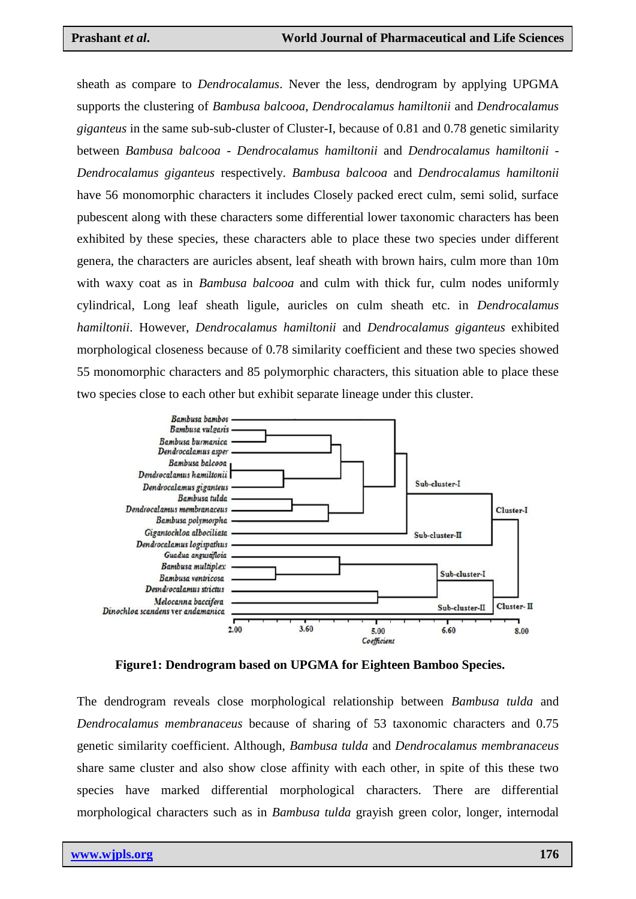sheath as compare to *Dendrocalamus*. Never the less, dendrogram by applying UPGMA supports the clustering of *Bambusa balcooa*, *Dendrocalamus hamiltonii* and *Dendrocalamus giganteus* in the same sub-sub-cluster of Cluster-I, because of 0.81 and 0.78 genetic similarity between *Bambusa balcooa* - *Dendrocalamus hamiltonii* and *Dendrocalamus hamiltonii* - *Dendrocalamus giganteus* respectively. *Bambusa balcooa* and *Dendrocalamus hamiltonii* have 56 monomorphic characters it includes Closely packed erect culm, semi solid, surface pubescent along with these characters some differential lower taxonomic characters has been exhibited by these species, these characters able to place these two species under different genera, the characters are auricles absent, leaf sheath with brown hairs, culm more than 10m with waxy coat as in *Bambusa balcooa* and culm with thick fur, culm nodes uniformly cylindrical, Long leaf sheath ligule, auricles on culm sheath etc. in *Dendrocalamus hamiltonii*. However, *Dendrocalamus hamiltonii* and *Dendrocalamus giganteus* exhibited morphological closeness because of 0.78 similarity coefficient and these two species showed 55 monomorphic characters and 85 polymorphic characters, this situation able to place these two species close to each other but exhibit separate lineage under this cluster.



**Figure1: Dendrogram based on UPGMA for Eighteen Bamboo Species.**

The dendrogram reveals close morphological relationship between *Bambusa tulda* and *Dendrocalamus membranaceus* because of sharing of 53 taxonomic characters and 0.75 genetic similarity coefficient. Although, *Bambusa tulda* and *Dendrocalamus membranaceus* share same cluster and also show close affinity with each other, in spite of this these two species have marked differential morphological characters. There are differential morphological characters such as in *Bambusa tulda* grayish green color, longer, internodal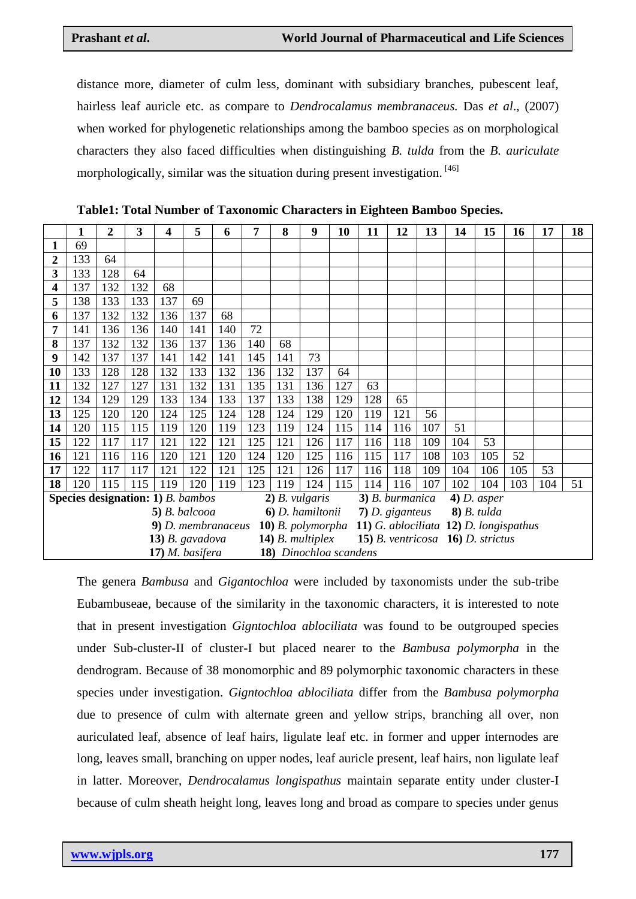distance more, diameter of culm less, dominant with subsidiary branches, pubescent leaf, hairless leaf auricle etc. as compare to *Dendrocalamus membranaceus.* Das *et al*., (2007) when worked for phylogenetic relationships among the bamboo species as on morphological characters they also faced difficulties when distinguishing *B. tulda* from the *B. auriculate* morphologically, similar was the situation during present investigation. [46]

|    | 1   | 2   | 3   | 4                                               | 5   | 6   | 7   | 8                      | 9   | 10  | 11                               | 12  | 13  | 14                                     | 15  | 16  | 17  | 18 |  |
|----|-----|-----|-----|-------------------------------------------------|-----|-----|-----|------------------------|-----|-----|----------------------------------|-----|-----|----------------------------------------|-----|-----|-----|----|--|
| 1  | 69  |     |     |                                                 |     |     |     |                        |     |     |                                  |     |     |                                        |     |     |     |    |  |
| 2  | 133 | 64  |     |                                                 |     |     |     |                        |     |     |                                  |     |     |                                        |     |     |     |    |  |
| 3  | 133 | 128 | 64  |                                                 |     |     |     |                        |     |     |                                  |     |     |                                        |     |     |     |    |  |
| 4  | 137 | 132 | 132 | 68                                              |     |     |     |                        |     |     |                                  |     |     |                                        |     |     |     |    |  |
| 5  | 138 | 133 | 133 | 137                                             | 69  |     |     |                        |     |     |                                  |     |     |                                        |     |     |     |    |  |
| 6  | 137 | 132 | 132 | 136                                             | 137 | 68  |     |                        |     |     |                                  |     |     |                                        |     |     |     |    |  |
| 7  | 141 | 136 | 136 | 140                                             | 141 | 140 | 72  |                        |     |     |                                  |     |     |                                        |     |     |     |    |  |
| 8  | 137 | 132 | 132 | 136                                             | 137 | 136 | 140 | 68                     |     |     |                                  |     |     |                                        |     |     |     |    |  |
| 9  | 142 | 137 | 137 | 141                                             | 142 | 141 | 145 | 141                    | 73  |     |                                  |     |     |                                        |     |     |     |    |  |
| 10 | 133 | 128 | 128 | 132                                             | 133 | 132 | 136 | 132                    | 137 | 64  |                                  |     |     |                                        |     |     |     |    |  |
| 11 | 132 | 127 | 127 | 131                                             | 132 | 131 | 135 | 131                    | 136 | 127 | 63                               |     |     |                                        |     |     |     |    |  |
| 12 | 134 | 129 | 129 | 133                                             | 134 | 133 | 137 | 133                    | 138 | 129 | 128                              | 65  |     |                                        |     |     |     |    |  |
| 13 | 125 | 120 | 120 | 124                                             | 125 | 124 | 128 | 124                    | 129 | 120 | 119                              | 121 | 56  |                                        |     |     |     |    |  |
| 14 | 120 | 115 | 115 | 119                                             | 120 | 119 | 123 | 119                    | 124 | 115 | 114                              | 116 | 107 | 51                                     |     |     |     |    |  |
| 15 | 122 | 117 | 117 | 121                                             | 122 | 121 | 125 | 121                    | 126 | 117 | 116                              | 118 | 109 | 104                                    | 53  |     |     |    |  |
| 16 | 121 | 116 | 116 | 120                                             | 121 | 120 | 124 | 120                    | 125 | 116 | 115                              | 117 | 108 | 103                                    | 105 | 52  |     |    |  |
| 17 | 122 | 117 | 117 | 121                                             | 122 | 121 | 125 | 121                    | 126 | 117 | 116                              | 118 | 109 | 104                                    | 106 | 105 | 53  |    |  |
| 18 | 120 | 115 | 115 | 119                                             | 120 | 119 | 123 | 119                    | 124 | 115 | 114                              | 116 | 107 | 102                                    | 104 | 103 | 104 | 51 |  |
|    |     |     |     | <b>Species designation: 1)</b> <i>B. bambos</i> |     |     |     | $2)$ B. vulgaris       |     |     | 3) B. burmanica                  |     |     | $4)$ D. asper                          |     |     |     |    |  |
|    |     |     |     | $5)$ B. balcooa                                 |     |     |     | 6) D. hamiltonii       |     |     | $8)$ B. tulda<br>7) D. giganteus |     |     |                                        |     |     |     |    |  |
|    |     |     |     | 9) D. membranaceus                              |     |     |     | 10) B. polymorpha      |     |     |                                  |     |     | 11) G. ablociliata 12) D. longispathus |     |     |     |    |  |
|    |     |     |     | $13)$ B. gavadova                               |     |     |     | $14)$ B. multiplex     |     |     |                                  |     |     | 15) B. ventricosa 16) D. strictus      |     |     |     |    |  |
|    |     |     |     | 17) M. basifera                                 |     |     |     | 18) Dinochloa scandens |     |     |                                  |     |     |                                        |     |     |     |    |  |

**Table1: Total Number of Taxonomic Characters in Eighteen Bamboo Species.**

The genera *Bambusa* and *Gigantochloa* were included by taxonomists under the sub-tribe Eubambuseae, because of the similarity in the taxonomic characters, it is interested to note that in present investigation *Gigntochloa ablociliata* was found to be outgrouped species under Sub-cluster-II of cluster-I but placed nearer to the *Bambusa polymorpha* in the dendrogram. Because of 38 monomorphic and 89 polymorphic taxonomic characters in these species under investigation. *Gigntochloa ablociliata* differ from the *Bambusa polymorpha* due to presence of culm with alternate green and yellow strips, branching all over, non auriculated leaf, absence of leaf hairs, ligulate leaf etc. in former and upper internodes are long, leaves small, branching on upper nodes, leaf auricle present, leaf hairs, non ligulate leaf in latter. Moreover, *Dendrocalamus longispathus* maintain separate entity under cluster-I because of culm sheath height long, leaves long and broad as compare to species under genus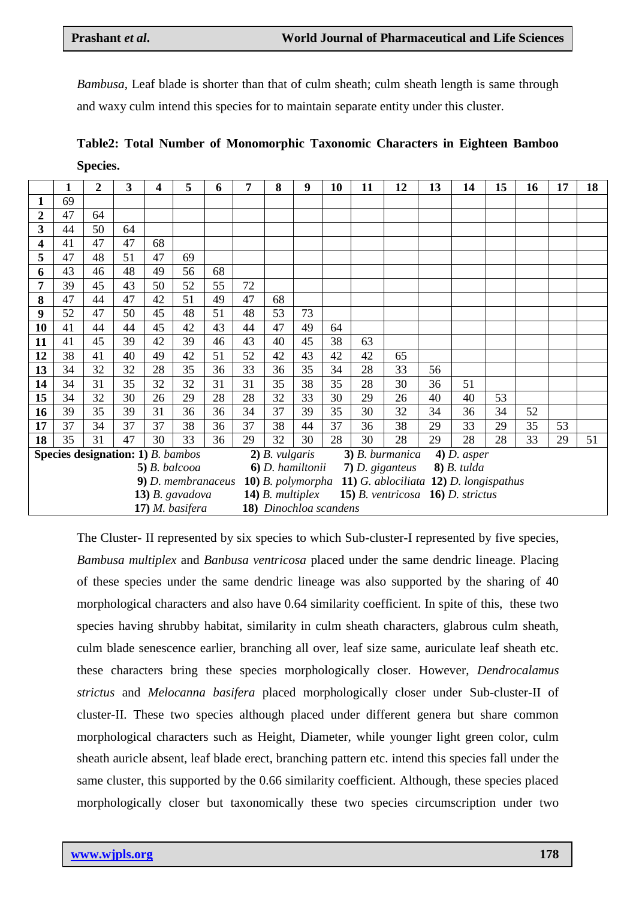*Bambusa*, Leaf blade is shorter than that of culm sheath; culm sheath length is same through and waxy culm intend this species for to maintain separate entity under this cluster.

**Table2: Total Number of Monomorphic Taxonomic Characters in Eighteen Bamboo Species.**

|                                                 | 1  | $\overline{2}$ | 3  | 4  | 5                  | 6  | 7                                                        | 8                  | 9  | 10 | 11 | 12                                | 13 | 14            | 15 | 16 | 17 | 18 |  |
|-------------------------------------------------|----|----------------|----|----|--------------------|----|----------------------------------------------------------|--------------------|----|----|----|-----------------------------------|----|---------------|----|----|----|----|--|
|                                                 | 69 |                |    |    |                    |    |                                                          |                    |    |    |    |                                   |    |               |    |    |    |    |  |
| $\overline{2}$                                  | 47 | 64             |    |    |                    |    |                                                          |                    |    |    |    |                                   |    |               |    |    |    |    |  |
| 3                                               | 44 | 50             | 64 |    |                    |    |                                                          |                    |    |    |    |                                   |    |               |    |    |    |    |  |
| 4                                               | 41 | 47             | 47 | 68 |                    |    |                                                          |                    |    |    |    |                                   |    |               |    |    |    |    |  |
| 5                                               | 47 | 48             | 51 | 47 | 69                 |    |                                                          |                    |    |    |    |                                   |    |               |    |    |    |    |  |
| 6                                               | 43 | 46             | 48 | 49 | 56                 | 68 |                                                          |                    |    |    |    |                                   |    |               |    |    |    |    |  |
| 7                                               | 39 | 45             | 43 | 50 | 52                 | 55 | 72                                                       |                    |    |    |    |                                   |    |               |    |    |    |    |  |
| 8                                               | 47 | 44             | 47 | 42 | 51                 | 49 | 47                                                       | 68                 |    |    |    |                                   |    |               |    |    |    |    |  |
| 9                                               | 52 | 47             | 50 | 45 | 48                 | 51 | 48                                                       | 53                 | 73 |    |    |                                   |    |               |    |    |    |    |  |
| 10                                              | 41 | 44             | 44 | 45 | 42                 | 43 | 44                                                       | 47                 | 49 | 64 |    |                                   |    |               |    |    |    |    |  |
| 11                                              | 41 | 45             | 39 | 42 | 39                 | 46 | 43                                                       | 40                 | 45 | 38 | 63 |                                   |    |               |    |    |    |    |  |
| 12                                              | 38 | 41             | 40 | 49 | 42                 | 51 | 52                                                       | 42                 | 43 | 42 | 42 | 65                                |    |               |    |    |    |    |  |
| 13                                              | 34 | 32             | 32 | 28 | 35                 | 36 | 33                                                       | 36                 | 35 | 34 | 28 | 33                                | 56 |               |    |    |    |    |  |
| 14                                              | 34 | 31             | 35 | 32 | 32                 | 31 | 31                                                       | 35                 | 38 | 35 | 28 | 30                                | 36 | 51            |    |    |    |    |  |
| 15                                              | 34 | 32             | 30 | 26 | 29                 | 28 | 28                                                       | 32                 | 33 | 30 | 29 | 26                                | 40 | 40            | 53 |    |    |    |  |
| 16                                              | 39 | 35             | 39 | 31 | 36                 | 36 | 34                                                       | 37                 | 39 | 35 | 30 | 32                                | 34 | 36            | 34 | 52 |    |    |  |
| 17                                              | 37 | 34             | 37 | 37 | 38                 | 36 | 37                                                       | 38                 | 44 | 37 | 36 | 38                                | 29 | 33            | 29 | 35 | 53 |    |  |
| 18                                              | 35 | 31             | 47 | 30 | 33                 | 36 | 29                                                       | 32                 | 30 | 28 | 30 | 28                                | 29 | 28            | 28 | 33 | 29 | 51 |  |
| <b>Species designation: 1)</b> <i>B. bambos</i> |    |                |    |    |                    |    |                                                          | $2)$ B. vulgaris   |    |    |    | $3)$ B. burmanica                 |    | $4)$ D. asper |    |    |    |    |  |
|                                                 |    |                |    |    | $5)$ B. balcooa    |    |                                                          | 6) D. hamiltonii   |    |    |    | 7) D. giganteus                   |    | $8)$ B. tulda |    |    |    |    |  |
|                                                 |    |                |    |    | 9) D. membranaceus |    | 10) B. polymorpha 11) G. ablociliata 12) D. longispathus |                    |    |    |    |                                   |    |               |    |    |    |    |  |
|                                                 |    |                |    |    | $13)$ B. gavadova  |    |                                                          | $14)$ B. multiplex |    |    |    | 15) B. ventricosa 16) D. strictus |    |               |    |    |    |    |  |
|                                                 |    |                |    |    | 17) M. basifera    |    | 18) Dinochloa scandens                                   |                    |    |    |    |                                   |    |               |    |    |    |    |  |

The Cluster- II represented by six species to which Sub-cluster-I represented by five species, *Bambusa multiplex* and *Banbusa ventricosa* placed under the same dendric lineage. Placing of these species under the same dendric lineage was also supported by the sharing of 40 morphological characters and also have 0.64 similarity coefficient. In spite of this, these two species having shrubby habitat, similarity in culm sheath characters, glabrous culm sheath, culm blade senescence earlier, branching all over, leaf size same, auriculate leaf sheath etc. these characters bring these species morphologically closer. However, *Dendrocalamus strictus* and *Melocanna basifera* placed morphologically closer under Sub-cluster-II of cluster-II. These two species although placed under different genera but share common morphological characters such as Height, Diameter, while younger light green color, culm sheath auricle absent, leaf blade erect, branching pattern etc. intend this species fall under the same cluster, this supported by the 0.66 similarity coefficient. Although, these species placed morphologically closer but taxonomically these two species circumscription under two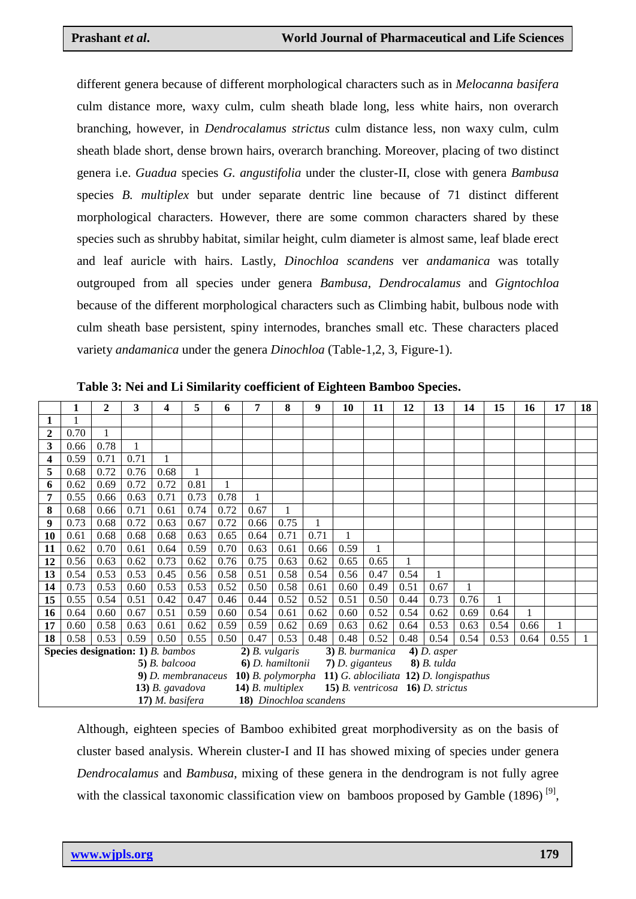different genera because of different morphological characters such as in *Melocanna basifera* culm distance more, waxy culm, culm sheath blade long, less white hairs, non overarch branching, however, in *Dendrocalamus strictus* culm distance less, non waxy culm, culm sheath blade short, dense brown hairs, overarch branching. Moreover, placing of two distinct genera i.e. *Guadua* species *G. angustifolia* under the cluster-II, close with genera *Bambusa* species *B. multiplex* but under separate dentric line because of 71 distinct different morphological characters. However, there are some common characters shared by these species such as shrubby habitat, similar height, culm diameter is almost same, leaf blade erect and leaf auricle with hairs. Lastly, *Dinochloa scandens* ver *andamanica* was totally outgrouped from all species under genera *Bambusa*, *Dendrocalamus* and *Gigntochloa*  because of the different morphological characters such as Climbing habit, bulbous node with culm sheath base persistent, spiny internodes, branches small etc. These characters placed variety *andamanica* under the genera *Dinochloa* (Table-1,2, 3, Figure-1).

|    | 1    | 2    | 3    | 4                                        | 5    | 6    | 7                             | 8    | 9    | 10   | 11                                     | 12   | 13                                 | 14   | 15   | 16   | 17   | 18 |
|----|------|------|------|------------------------------------------|------|------|-------------------------------|------|------|------|----------------------------------------|------|------------------------------------|------|------|------|------|----|
|    |      |      |      |                                          |      |      |                               |      |      |      |                                        |      |                                    |      |      |      |      |    |
| 2  | 0.70 | 1    |      |                                          |      |      |                               |      |      |      |                                        |      |                                    |      |      |      |      |    |
| 3  | 0.66 | 0.78 |      |                                          |      |      |                               |      |      |      |                                        |      |                                    |      |      |      |      |    |
| 4  | 0.59 | 0.71 | 0.71 |                                          |      |      |                               |      |      |      |                                        |      |                                    |      |      |      |      |    |
| 5  | 0.68 | 0.72 | 0.76 | 0.68                                     |      |      |                               |      |      |      |                                        |      |                                    |      |      |      |      |    |
| 6  | 0.62 | 0.69 | 0.72 | 0.72                                     | 0.81 |      |                               |      |      |      |                                        |      |                                    |      |      |      |      |    |
| 7  | 0.55 | 0.66 | 0.63 | 0.71                                     | 0.73 | 0.78 |                               |      |      |      |                                        |      |                                    |      |      |      |      |    |
| 8  | 0.68 | 0.66 | 0.71 | 0.61                                     | 0.74 | 0.72 | 0.67                          |      |      |      |                                        |      |                                    |      |      |      |      |    |
| 9  | 0.73 | 0.68 | 0.72 | 0.63                                     | 0.67 | 0.72 | 0.66                          | 0.75 |      |      |                                        |      |                                    |      |      |      |      |    |
| 10 | 0.61 | 0.68 | 0.68 | 0.68                                     | 0.63 | 0.65 | 0.64                          | 0.71 | 0.71 |      |                                        |      |                                    |      |      |      |      |    |
| 11 | 0.62 | 0.70 | 0.61 | 0.64                                     | 0.59 | 0.70 | 0.63                          | 0.61 | 0.66 | 0.59 | 1                                      |      |                                    |      |      |      |      |    |
| 12 | 0.56 | 0.63 | 0.62 | 0.73                                     | 0.62 | 0.76 | 0.75                          | 0.63 | 0.62 | 0.65 | 0.65                                   |      |                                    |      |      |      |      |    |
| 13 | 0.54 | 0.53 | 0.53 | 0.45                                     | 0.56 | 0.58 | 0.51                          | 0.58 | 0.54 | 0.56 | 0.47                                   | 0.54 |                                    |      |      |      |      |    |
| 14 | 0.73 | 0.53 | 0.60 | 0.53                                     | 0.53 | 0.52 | 0.50                          | 0.58 | 0.61 | 0.60 | 0.49                                   | 0.51 | 0.67                               |      |      |      |      |    |
| 15 | 0.55 | 0.54 | 0.51 | 0.42                                     | 0.47 | 0.46 | 0.44                          | 0.52 | 0.52 | 0.51 | 0.50                                   | 0.44 | 0.73                               | 0.76 |      |      |      |    |
| 16 | 0.64 | 0.60 | 0.67 | 0.51                                     | 0.59 | 0.60 | 0.54                          | 0.61 | 0.62 | 0.60 | 0.52                                   | 0.54 | 0.62                               | 0.69 | 0.64 |      |      |    |
| 17 | 0.60 | 0.58 | 0.63 | 0.61                                     | 0.62 | 0.59 | 0.59                          | 0.62 | 0.69 | 0.63 | 0.62                                   | 0.64 | 0.53                               | 0.63 | 0.54 | 0.66 |      |    |
| 18 | 0.58 | 0.53 | 0.59 | 0.50                                     | 0.55 | 0.50 | 0.47                          | 0.53 | 0.48 | 0.48 | 0.52                                   | 0.48 | 0.54                               | 0.54 | 0.53 | 0.64 | 0.55 |    |
|    |      |      |      | <b>Species designation: 1)</b> B. bambos |      |      | $2)$ B. vulgaris              |      |      |      | 3) B. burmanica                        |      | $4)$ D. asper                      |      |      |      |      |    |
|    |      |      |      | $5)$ B. balcooa                          |      |      | 6) D. hamiltonii              |      |      |      | $7)$ D. giganteus                      |      | $\boldsymbol{8}$ ) <i>B.</i> tulda |      |      |      |      |    |
|    |      |      |      | 9) D. membranaceus                       |      |      | 10) B. polymorpha             |      |      |      | 11) G. ablociliata 12) D. longispathus |      |                                    |      |      |      |      |    |
|    |      |      |      | $(13)$ B. gavadova                       |      |      | $14)$ B. multiplex            |      |      |      | 15) B. ventricosa $16$ ) D. strictus   |      |                                    |      |      |      |      |    |
|    |      |      |      | 17) M. basifera                          |      |      | <b>18)</b> Dinochloa scandens |      |      |      |                                        |      |                                    |      |      |      |      |    |

**Table 3: Nei and Li Similarity coefficient of Eighteen Bamboo Species.**

Although, eighteen species of Bamboo exhibited great morphodiversity as on the basis of cluster based analysis. Wherein cluster-I and II has showed mixing of species under genera *Dendrocalamus* and *Bambusa*, mixing of these genera in the dendrogram is not fully agree with the classical taxonomic classification view on bamboos proposed by Gamble  $(1896)$ <sup>[9]</sup>,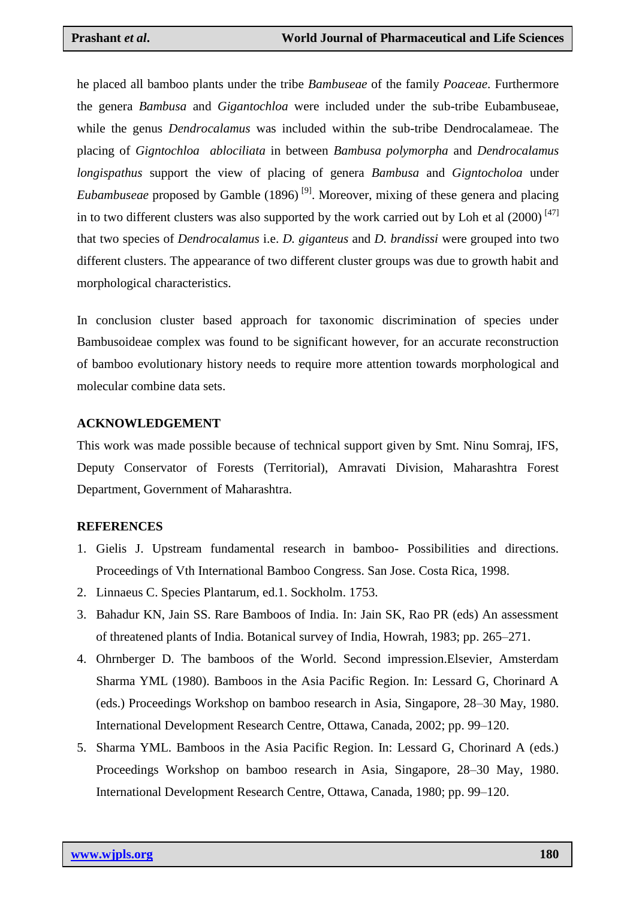he placed all bamboo plants under the tribe *Bambuseae* of the family *Poaceae*. Furthermore the genera *Bambusa* and *Gigantochloa* were included under the sub-tribe Eubambuseae, while the genus *Dendrocalamus* was included within the sub-tribe Dendrocalameae. The placing of *Gigntochloa ablociliata* in between *Bambusa polymorpha* and *Dendrocalamus longispathus* support the view of placing of genera *Bambusa* and *Gigntocholoa* under *Eubambuseae* proposed by Gamble (1896)<sup>[9]</sup>. Moreover, mixing of these genera and placing in to two different clusters was also supported by the work carried out by Loh et al  $(2000)^{[47]}$ that two species of *Dendrocalamus* i.e. *D. giganteus* and *D. brandissi* were grouped into two different clusters. The appearance of two different cluster groups was due to growth habit and morphological characteristics.

In conclusion cluster based approach for taxonomic discrimination of species under Bambusoideae complex was found to be significant however, for an accurate reconstruction of bamboo evolutionary history needs to require more attention towards morphological and molecular combine data sets.

#### **ACKNOWLEDGEMENT**

This work was made possible because of technical support given by Smt. Ninu Somraj, IFS, Deputy Conservator of Forests (Territorial), Amravati Division, Maharashtra Forest Department, Government of Maharashtra.

#### **REFERENCES**

- 1. Gielis J. Upstream fundamental research in bamboo- Possibilities and directions. Proceedings of Vth International Bamboo Congress. San Jose. Costa Rica, 1998.
- 2. Linnaeus C. Species Plantarum, ed.1. Sockholm. 1753.
- 3. Bahadur KN, Jain SS. Rare Bamboos of India. In: Jain SK, Rao PR (eds) An assessment of threatened plants of India. Botanical survey of India, Howrah, 1983; pp. 265–271.
- 4. Ohrnberger D. The bamboos of the World. Second impression.Elsevier, Amsterdam Sharma YML (1980). Bamboos in the Asia Pacific Region. In: Lessard G, Chorinard A (eds.) Proceedings Workshop on bamboo research in Asia, Singapore, 28–30 May, 1980. International Development Research Centre, Ottawa, Canada, 2002; pp. 99–120.
- 5. Sharma YML. Bamboos in the Asia Pacific Region. In: Lessard G, Chorinard A (eds.) Proceedings Workshop on bamboo research in Asia, Singapore, 28–30 May, 1980. International Development Research Centre, Ottawa, Canada, 1980; pp. 99–120.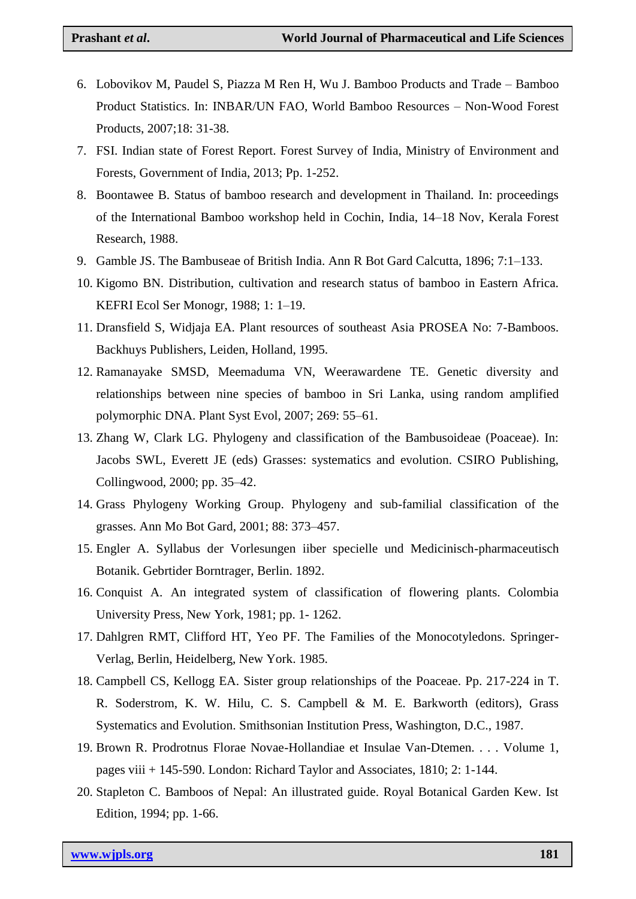- 6. Lobovikov M, Paudel S, Piazza M Ren H, Wu J. Bamboo Products and Trade Bamboo Product Statistics. In: INBAR/UN FAO, World Bamboo Resources – Non-Wood Forest Products, 2007;18: 31-38.
- 7. FSI. Indian state of Forest Report. Forest Survey of India, Ministry of Environment and Forests, Government of India, 2013; Pp. 1-252.
- 8. Boontawee B. Status of bamboo research and development in Thailand. In: proceedings of the International Bamboo workshop held in Cochin, India, 14–18 Nov, Kerala Forest Research, 1988.
- 9. Gamble JS. The Bambuseae of British India. Ann R Bot Gard Calcutta, 1896; 7:1–133.
- 10. Kigomo BN. Distribution, cultivation and research status of bamboo in Eastern Africa. KEFRI Ecol Ser Monogr, 1988; 1: 1–19.
- 11. Dransfield S, Widjaja EA. Plant resources of southeast Asia PROSEA No: 7-Bamboos. Backhuys Publishers, Leiden, Holland, 1995.
- 12. Ramanayake SMSD, Meemaduma VN, Weerawardene TE. Genetic diversity and relationships between nine species of bamboo in Sri Lanka, using random amplified polymorphic DNA. Plant Syst Evol, 2007; 269: 55–61.
- 13. Zhang W, Clark LG. Phylogeny and classification of the Bambusoideae (Poaceae). In: Jacobs SWL, Everett JE (eds) Grasses: systematics and evolution. CSIRO Publishing, Collingwood, 2000; pp. 35–42.
- 14. Grass Phylogeny Working Group. Phylogeny and sub-familial classification of the grasses. Ann Mo Bot Gard, 2001; 88: 373–457.
- 15. Engler A. Syllabus der Vorlesungen iiber specielle und Medicinisch-pharmaceutisch Botanik. Gebrtider Borntrager, Berlin. 1892.
- 16. Conquist A. An integrated system of classification of flowering plants. Colombia University Press, New York, 1981; pp. 1- 1262.
- 17. Dahlgren RMT, Clifford HT, Yeo PF. The Families of the Monocotyledons. Springer-Verlag, Berlin, Heidelberg, New York. 1985.
- 18. Campbell CS, Kellogg EA. Sister group relationships of the Poaceae. Pp. 217-224 in T. R. Soderstrom, K. W. Hilu, C. S. Campbell & M. E. Barkworth (editors), Grass Systematics and Evolution. Smithsonian Institution Press, Washington, D.C., 1987.
- 19. Brown R. Prodrotnus Florae Novae-Hollandiae et Insulae Van-Dtemen. . . . Volume 1, pages viii + 145-590. London: Richard Taylor and Associates, 1810; 2: 1-144.
- 20. Stapleton C. Bamboos of Nepal: An illustrated guide. Royal Botanical Garden Kew. Ist Edition, 1994; pp. 1-66.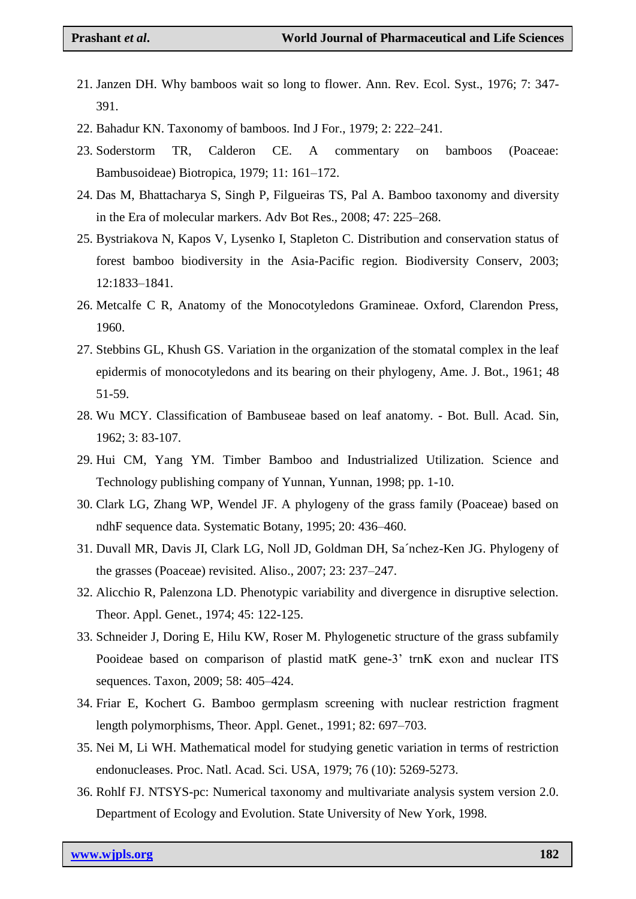- 21. Janzen DH. Why bamboos wait so long to flower. Ann. Rev. Ecol. Syst., 1976; 7: 347- 391.
- 22. Bahadur KN. Taxonomy of bamboos. Ind J For., 1979; 2: 222–241.
- 23. Soderstorm TR, Calderon CE. A commentary on bamboos (Poaceae: Bambusoideae) Biotropica, 1979; 11: 161–172.
- 24. Das M, Bhattacharya S, Singh P, Filgueiras TS, Pal A. Bamboo taxonomy and diversity in the Era of molecular markers. Adv Bot Res., 2008; 47: 225–268.
- 25. Bystriakova N, Kapos V, Lysenko I, Stapleton C. Distribution and conservation status of forest bamboo biodiversity in the Asia-Pacific region. Biodiversity Conserv, 2003; 12:1833–1841.
- 26. Metcalfe C R, Anatomy of the Monocotyledons Gramineae. Oxford, Clarendon Press, 1960.
- 27. Stebbins GL, Khush GS. Variation in the organization of the stomatal complex in the leaf epidermis of monocotyledons and its bearing on their phylogeny, Ame. J. Bot., 1961; 48 51-59.
- 28. Wu MCY. Classification of Bambuseae based on leaf anatomy. Bot. Bull. Acad. Sin, 1962; 3: 83-107.
- 29. Hui CM, Yang YM. Timber Bamboo and Industrialized Utilization. Science and Technology publishing company of Yunnan, Yunnan, 1998; pp. 1-10.
- 30. Clark LG, Zhang WP, Wendel JF. A phylogeny of the grass family (Poaceae) based on ndhF sequence data. Systematic Botany, 1995; 20: 436–460.
- 31. Duvall MR, Davis JI, Clark LG, Noll JD, Goldman DH, Sa´nchez-Ken JG. Phylogeny of the grasses (Poaceae) revisited. Aliso., 2007; 23: 237–247.
- 32. Alicchio R, Palenzona LD. Phenotypic variability and divergence in disruptive selection. Theor. Appl. Genet., 1974; 45: 122-125.
- 33. Schneider J, Doring E, Hilu KW, Roser M. Phylogenetic structure of the grass subfamily Pooideae based on comparison of plastid matK gene-3' trnK exon and nuclear ITS sequences. Taxon, 2009; 58: 405–424.
- 34. Friar E, Kochert G. Bamboo germplasm screening with nuclear restriction fragment length polymorphisms, Theor. Appl. Genet., 1991; 82: 697–703.
- 35. Nei M, Li WH. Mathematical model for studying genetic variation in terms of restriction endonucleases. Proc. Natl. Acad. Sci. USA, 1979; 76 (10): 5269-5273.
- 36. Rohlf FJ. NTSYS-pc: Numerical taxonomy and multivariate analysis system version 2.0. Department of Ecology and Evolution. State University of New York, 1998.